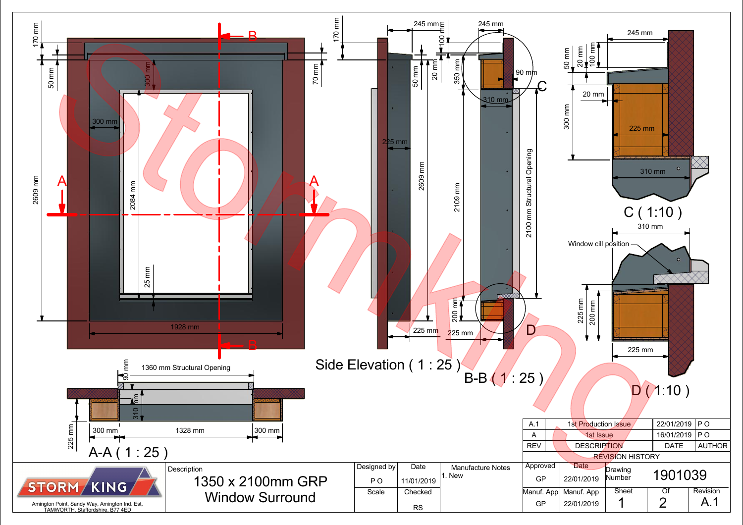